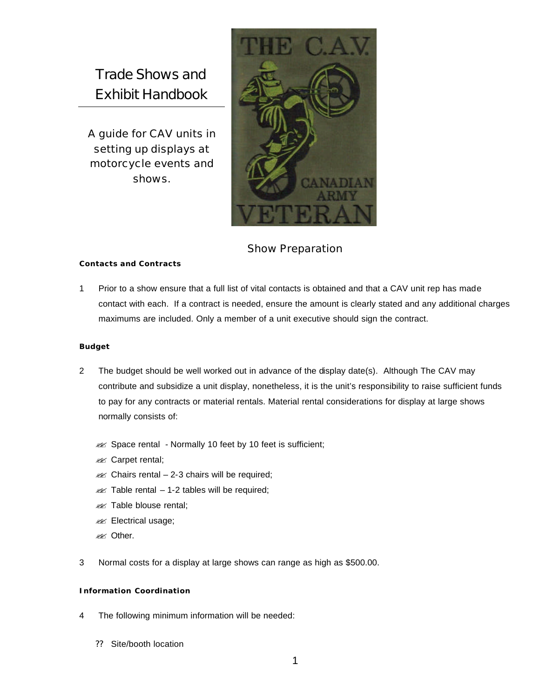Trade Shows and Exhibit Handbook

A guide for CAV units in setting up displays at motorcycle events and shows.



# Show Preparation

## **Contacts and Contracts**

1 Prior to a show ensure that a full list of vital contacts is obtained and that a CAV unit rep has made contact with each. If a contract is needed, ensure the amount is clearly stated and any additional charges maximums are included. Only a member of a unit executive should sign the contract.

#### **Budget**

- 2 The budget should be well worked out in advance of the display date(s). Although The CAV may contribute and subsidize a unit display, nonetheless, it is the unit's responsibility to raise sufficient funds to pay for any contracts or material rentals. Material rental considerations for display at large shows normally consists of:
	- $\mathscr{A}$  Space rental Normally 10 feet by 10 feet is sufficient;
	- **228** Carpet rental;
	- $\mathscr{A}$  Chairs rental 2-3 chairs will be required;
	- $\mathscr{A}$  Table rental 1-2 tables will be required;
	- **225 Table blouse rental;**
	- **226** Electrical usage;
	- **PREX** Other.
- 3 Normal costs for a display at large shows can range as high as \$500.00.

## **Information Coordination**

- 4 The following minimum information will be needed:
	- ?? Site/booth location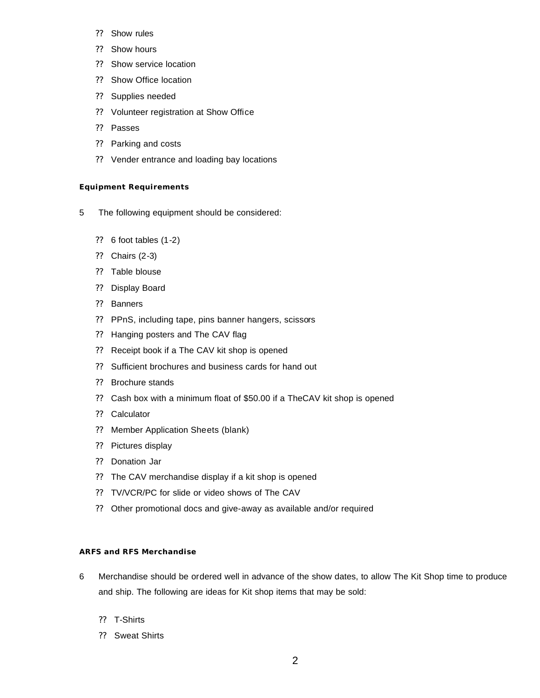- ?? Show rules
- ?? Show hours
- ?? Show service location
- ?? Show Office location
- ?? Supplies needed
- ?? Volunteer registration at Show Office
- ?? Passes
- ?? Parking and costs
- ?? Vender entrance and loading bay locations

#### **Equipment Requirements**

- 5 The following equipment should be considered:
	- ?? 6 foot tables (1-2)
	- ?? Chairs (2-3)
	- ?? Table blouse
	- ?? Display Board
	- ?? Banners
	- ?? PPnS, including tape, pins banner hangers, scissors
	- ?? Hanging posters and The CAV flag
	- ?? Receipt book if a The CAV kit shop is opened
	- ?? Sufficient brochures and business cards for hand out
	- ?? Brochure stands
	- ?? Cash box with a minimum float of \$50.00 if a TheCAV kit shop is opened
	- ?? Calculator
	- ?? Member Application Sheets (blank)
	- ?? Pictures display
	- ?? Donation Jar
	- ?? The CAV merchandise display if a kit shop is opened
	- ?? TV/VCR/PC for slide or video shows of The CAV
	- ?? Other promotional docs and give-away as available and/or required

# **ARFS and RFS Merchandise**

- 6 Merchandise should be ordered well in advance of the show dates, to allow The Kit Shop time to produce and ship. The following are ideas for Kit shop items that may be sold:
	- ?? T-Shirts
	- ?? Sweat Shirts